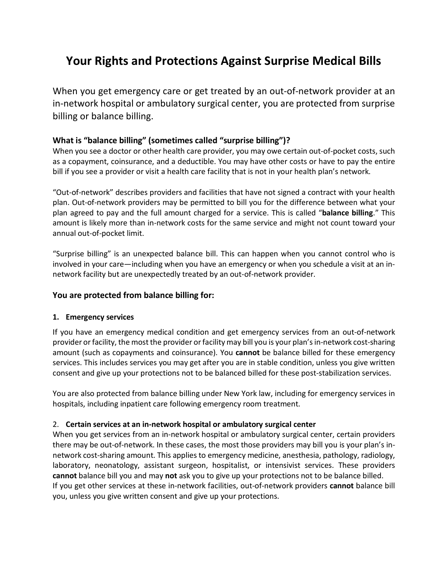# **Your Rights and Protections Against Surprise Medical Bills**

When you get emergency care or get treated by an out-of-network provider at an in-network hospital or ambulatory surgical center, you are protected from surprise billing or balance billing.

#### **What is "balance billing" (sometimes called "surprise billing")?**

When you see a doctor or other health care provider, you may owe certain out-of-pocket costs, such as a copayment, coinsurance, and a deductible. You may have other costs or have to pay the entire bill if you see a provider or visit a health care facility that is not in your health plan's network.

"Out-of-network" describes providers and facilities that have not signed a contract with your health plan. Out-of-network providers may be permitted to bill you for the difference between what your plan agreed to pay and the full amount charged for a service. This is called "**balance billing**." This amount is likely more than in-network costs for the same service and might not count toward your annual out-of-pocket limit.

"Surprise billing" is an unexpected balance bill. This can happen when you cannot control who is involved in your care—including when you have an emergency or when you schedule a visit at an innetwork facility but are unexpectedly treated by an out-of-network provider.

#### **You are protected from balance billing for:**

#### **1. Emergency services**

If you have an emergency medical condition and get emergency services from an out-of-network provider or facility, the most the provider or facility may bill you is your plan's in-network cost-sharing amount (such as copayments and coinsurance). You **cannot** be balance billed for these emergency services. This includes services you may get after you are in stable condition, unless you give written consent and give up your protections not to be balanced billed for these post-stabilization services.

You are also protected from balance billing under New York law, including for emergency services in hospitals, including inpatient care following emergency room treatment.

#### 2. **Certain services at an in-network hospital or ambulatory surgical center**

When you get services from an in-network hospital or ambulatory surgical center, certain providers there may be out-of-network. In these cases, the most those providers may bill you is your plan's innetwork cost-sharing amount. This applies to emergency medicine, anesthesia, pathology, radiology, laboratory, neonatology, assistant surgeon, hospitalist, or intensivist services. These providers **cannot** balance bill you and may **not** ask you to give up your protections not to be balance billed. If you get other services at these in-network facilities, out-of-network providers **cannot** balance bill you, unless you give written consent and give up your protections.